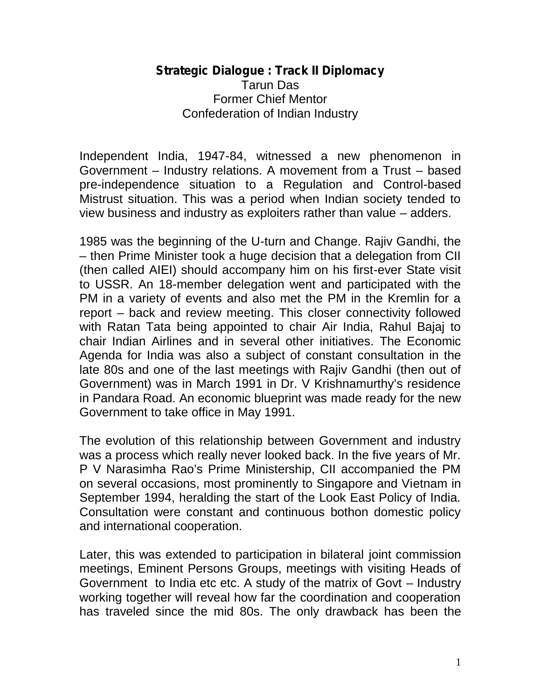## **Strategic Dialogue : Track II Diplomacy** Tarun Das Former Chief Mentor Confederation of Indian Industry

Independent India, 1947-84, witnessed a new phenomenon in Government – Industry relations. A movement from a Trust – based pre-independence situation to a Regulation and Control-based Mistrust situation. This was a period when Indian society tended to view business and industry as exploiters rather than value – adders.

1985 was the beginning of the U-turn and Change. Rajiv Gandhi, the – then Prime Minister took a huge decision that a delegation from CII (then called AIEI) should accompany him on his first-ever State visit to USSR. An 18-member delegation went and participated with the PM in a variety of events and also met the PM in the Kremlin for a report – back and review meeting. This closer connectivity followed with Ratan Tata being appointed to chair Air India, Rahul Bajaj to chair Indian Airlines and in several other initiatives. The Economic Agenda for India was also a subject of constant consultation in the late 80s and one of the last meetings with Rajiv Gandhi (then out of Government) was in March 1991 in Dr. V Krishnamurthy's residence in Pandara Road. An economic blueprint was made ready for the new Government to take office in May 1991.

The evolution of this relationship between Government and industry was a process which really never looked back. In the five years of Mr. P V Narasimha Rao's Prime Ministership, CII accompanied the PM on several occasions, most prominently to Singapore and Vietnam in September 1994, heralding the start of the Look East Policy of India. Consultation were constant and continuous bothon domestic policy and international cooperation.

Later, this was extended to participation in bilateral joint commission meetings, Eminent Persons Groups, meetings with visiting Heads of Government to India etc etc. A study of the matrix of Govt – Industry working together will reveal how far the coordination and cooperation has traveled since the mid 80s. The only drawback has been the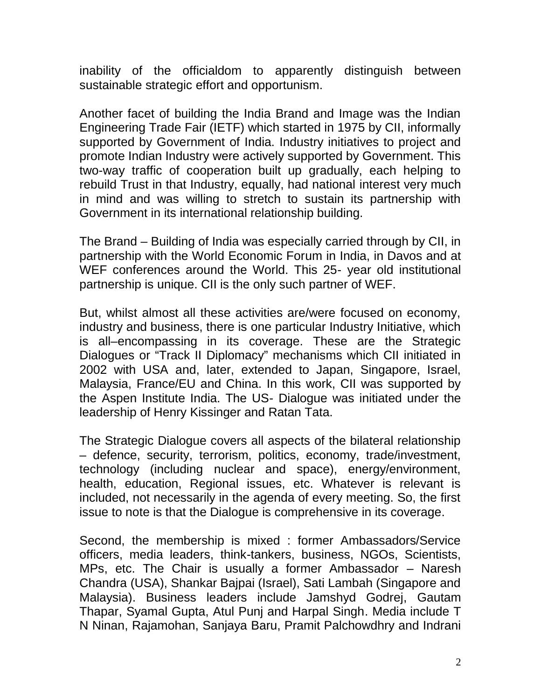inability of the officialdom to apparently distinguish between sustainable strategic effort and opportunism.

Another facet of building the India Brand and Image was the Indian Engineering Trade Fair (IETF) which started in 1975 by CII, informally supported by Government of India. Industry initiatives to project and promote Indian Industry were actively supported by Government. This two-way traffic of cooperation built up gradually, each helping to rebuild Trust in that Industry, equally, had national interest very much in mind and was willing to stretch to sustain its partnership with Government in its international relationship building.

The Brand – Building of India was especially carried through by CII, in partnership with the World Economic Forum in India, in Davos and at WEF conferences around the World. This 25- year old institutional partnership is unique. CII is the only such partner of WEF.

But, whilst almost all these activities are/were focused on economy, industry and business, there is one particular Industry Initiative, which is all–encompassing in its coverage. These are the Strategic Dialogues or "Track II Diplomacy" mechanisms which CII initiated in 2002 with USA and, later, extended to Japan, Singapore, Israel, Malaysia, France/EU and China. In this work, CII was supported by the Aspen Institute India. The US- Dialogue was initiated under the leadership of Henry Kissinger and Ratan Tata.

The Strategic Dialogue covers all aspects of the bilateral relationship – defence, security, terrorism, politics, economy, trade/investment, technology (including nuclear and space), energy/environment, health, education, Regional issues, etc. Whatever is relevant is included, not necessarily in the agenda of every meeting. So, the first issue to note is that the Dialogue is comprehensive in its coverage.

Second, the membership is mixed : former Ambassadors/Service officers, media leaders, think-tankers, business, NGOs, Scientists, MPs, etc. The Chair is usually a former Ambassador – Naresh Chandra (USA), Shankar Bajpai (Israel), Sati Lambah (Singapore and Malaysia). Business leaders include Jamshyd Godrej, Gautam Thapar, Syamal Gupta, Atul Punj and Harpal Singh. Media include T N Ninan, Rajamohan, Sanjaya Baru, Pramit Palchowdhry and Indrani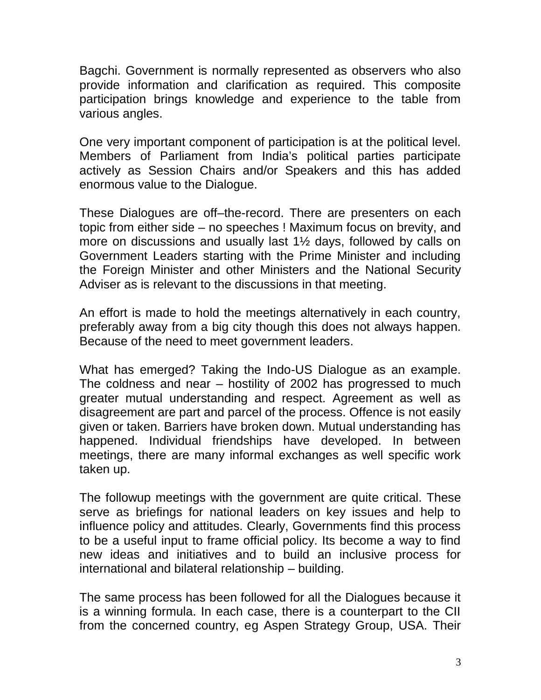Bagchi. Government is normally represented as observers who also provide information and clarification as required. This composite participation brings knowledge and experience to the table from various angles.

One very important component of participation is at the political level. Members of Parliament from India's political parties participate actively as Session Chairs and/or Speakers and this has added enormous value to the Dialogue.

These Dialogues are off–the-record. There are presenters on each topic from either side – no speeches ! Maximum focus on brevity, and more on discussions and usually last 1½ days, followed by calls on Government Leaders starting with the Prime Minister and including the Foreign Minister and other Ministers and the National Security Adviser as is relevant to the discussions in that meeting.

An effort is made to hold the meetings alternatively in each country, preferably away from a big city though this does not always happen. Because of the need to meet government leaders.

What has emerged? Taking the Indo-US Dialogue as an example. The coldness and near – hostility of 2002 has progressed to much greater mutual understanding and respect. Agreement as well as disagreement are part and parcel of the process. Offence is not easily given or taken. Barriers have broken down. Mutual understanding has happened. Individual friendships have developed. In between meetings, there are many informal exchanges as well specific work taken up.

The followup meetings with the government are quite critical. These serve as briefings for national leaders on key issues and help to influence policy and attitudes. Clearly, Governments find this process to be a useful input to frame official policy. Its become a way to find new ideas and initiatives and to build an inclusive process for international and bilateral relationship – building.

The same process has been followed for all the Dialogues because it is a winning formula. In each case, there is a counterpart to the CII from the concerned country, eg Aspen Strategy Group, USA. Their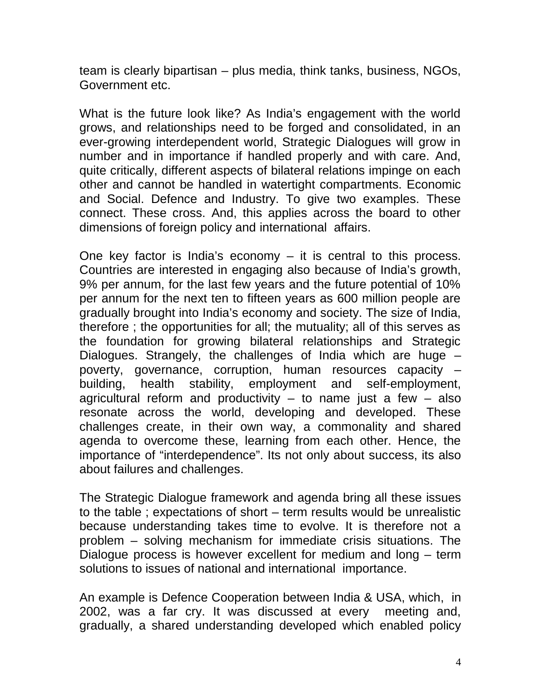team is clearly bipartisan – plus media, think tanks, business, NGOs, Government etc.

What is the future look like? As India's engagement with the world grows, and relationships need to be forged and consolidated, in an ever-growing interdependent world, Strategic Dialogues will grow in number and in importance if handled properly and with care. And, quite critically, different aspects of bilateral relations impinge on each other and cannot be handled in watertight compartments. Economic and Social. Defence and Industry. To give two examples. These connect. These cross. And, this applies across the board to other dimensions of foreign policy and international affairs.

One key factor is India's economy  $-$  it is central to this process. Countries are interested in engaging also because of India's growth, 9% per annum, for the last few years and the future potential of 10% per annum for the next ten to fifteen years as 600 million people are gradually brought into India's economy and society. The size of India, therefore ; the opportunities for all; the mutuality; all of this serves as the foundation for growing bilateral relationships and Strategic Dialogues. Strangely, the challenges of India which are huge – poverty, governance, corruption, human resources capacity – building, health stability, employment and self-employment, agricultural reform and productivity  $-$  to name just a few  $-$  also resonate across the world, developing and developed. These challenges create, in their own way, a commonality and shared agenda to overcome these, learning from each other. Hence, the importance of "interdependence". Its not only about success, its also about failures and challenges.

The Strategic Dialogue framework and agenda bring all these issues to the table ; expectations of short – term results would be unrealistic because understanding takes time to evolve. It is therefore not a problem – solving mechanism for immediate crisis situations. The Dialogue process is however excellent for medium and long – term solutions to issues of national and international importance.

An example is Defence Cooperation between India & USA, which, in 2002, was a far cry. It was discussed at every meeting and, gradually, a shared understanding developed which enabled policy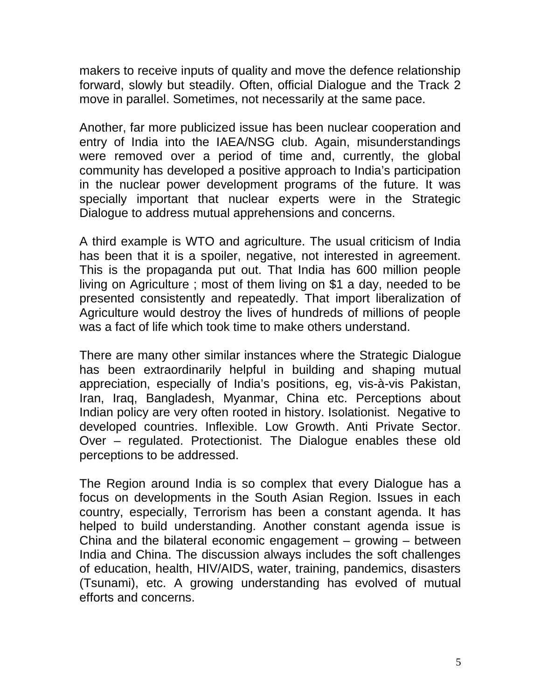makers to receive inputs of quality and move the defence relationship forward, slowly but steadily. Often, official Dialogue and the Track 2 move in parallel. Sometimes, not necessarily at the same pace.

Another, far more publicized issue has been nuclear cooperation and entry of India into the IAEA/NSG club. Again, misunderstandings were removed over a period of time and, currently, the global community has developed a positive approach to India's participation in the nuclear power development programs of the future. It was specially important that nuclear experts were in the Strategic Dialogue to address mutual apprehensions and concerns.

A third example is WTO and agriculture. The usual criticism of India has been that it is a spoiler, negative, not interested in agreement. This is the propaganda put out. That India has 600 million people living on Agriculture ; most of them living on \$1 a day, needed to be presented consistently and repeatedly. That import liberalization of Agriculture would destroy the lives of hundreds of millions of people was a fact of life which took time to make others understand.

There are many other similar instances where the Strategic Dialogue has been extraordinarily helpful in building and shaping mutual appreciation, especially of India's positions, eg, vis-à-vis Pakistan, Iran, Iraq, Bangladesh, Myanmar, China etc. Perceptions about Indian policy are very often rooted in history. Isolationist. Negative to developed countries. Inflexible. Low Growth. Anti Private Sector. Over – regulated. Protectionist. The Dialogue enables these old perceptions to be addressed.

The Region around India is so complex that every Dialogue has a focus on developments in the South Asian Region. Issues in each country, especially, Terrorism has been a constant agenda. It has helped to build understanding. Another constant agenda issue is China and the bilateral economic engagement – growing – between India and China. The discussion always includes the soft challenges of education, health, HIV/AIDS, water, training, pandemics, disasters (Tsunami), etc. A growing understanding has evolved of mutual efforts and concerns.